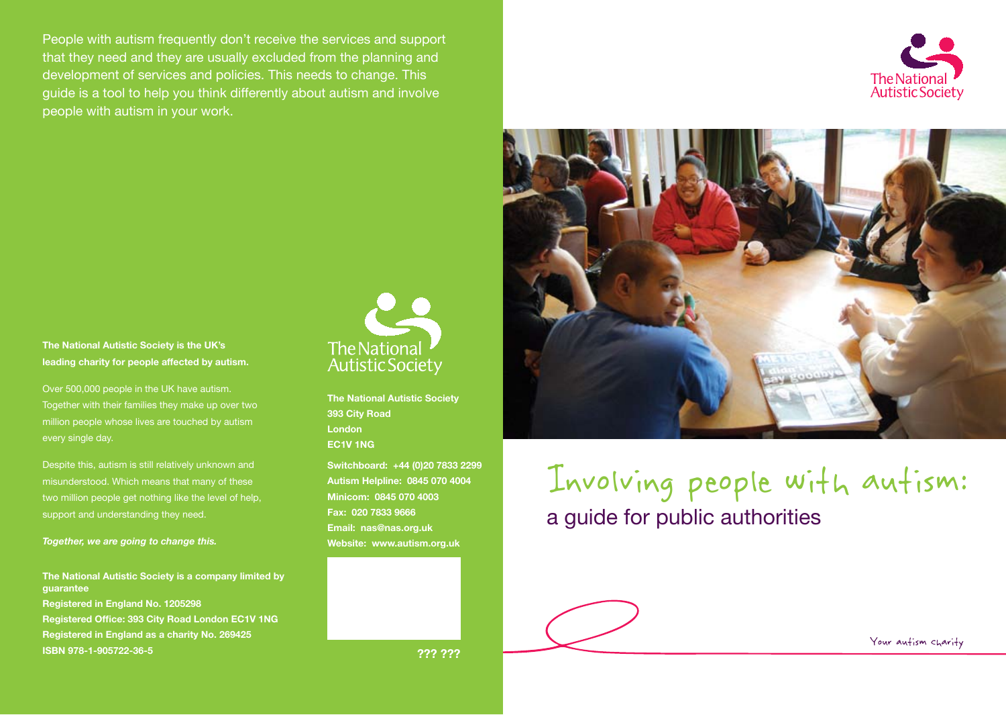People with autism frequently don't receive the services and support that they need and they are usually excluded from the planning and development of services and policies. This needs to change. This guide is a tool to help you think differently about autism and involve people with autism in your work.





#### **The National Autistic Society is the UK's leading charity for people affected by autism.**

Over 500,000 people in the UK have autism. Together with their families they make up over two million people whose lives are touched by autism every single day.

Despite this, autism is still relatively unknown and misunderstood. Which means that many of these two million people get nothing like the level of help, support and understanding they need.

*Together, we are going to change this.*

#### **The National Autistic Society is a company limited by guarantee**

**Registered in England No. 1205298 Registered Office: 393 City Road London EC1V 1NG Registered in England as a charity No. 269425 ISBN 978-1-905722-36-5** 



**The National Autistic Society 393 City Road London EC1V 1NG**

**Switchboard: +44 (0)20 7833 2299 Autism Helpline: 0845 070 4004 Minicom: 0845 070 4003 Fax: 020 7833 9666 Email: nas@nas.org.uk Website: www.autism.org.uk**

Involving people with autism: a guide for public authorities

**??? ???**

Your autism charity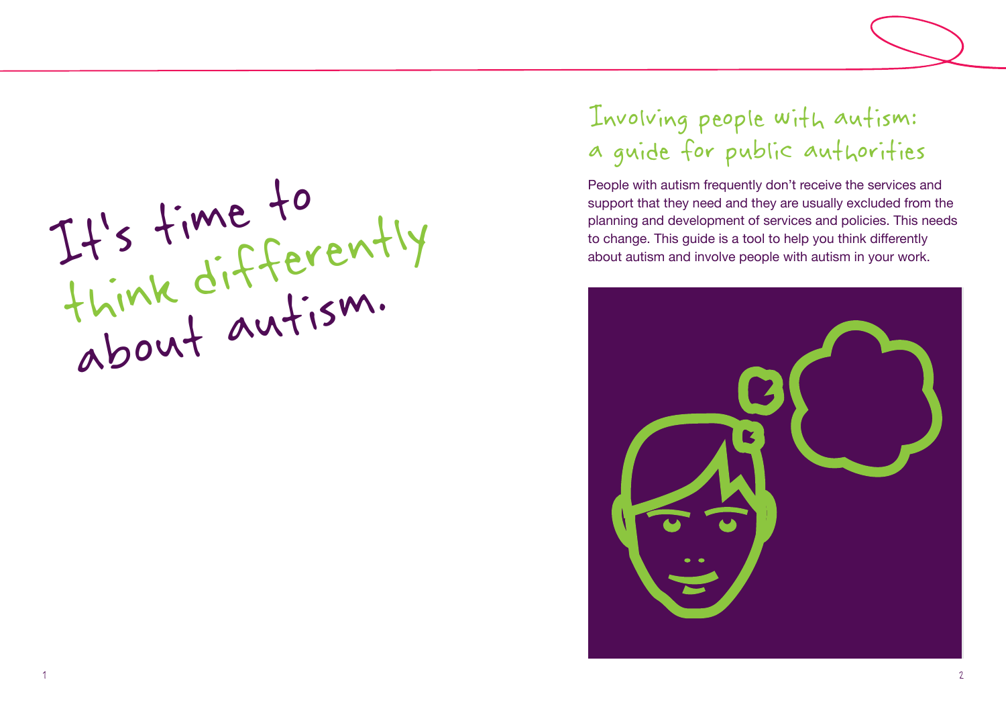From that they need and they are usually excluded from<br>planning and development of services and policies. This number of services and policies. This number of services and policies. This number of services and policies. Th Figure 211 S This guide is a tool to help you think differently<br>about autism and involve people with autism in your work.<br>This guide is a tool to help you think differently<br>about autism and involve people with autism in yo about autism.

# Involving people with autism: a guide for public authorities

People with autism frequently don't receive the services and support that they need and they are usually excluded from the planning and development of services and policies. This needs

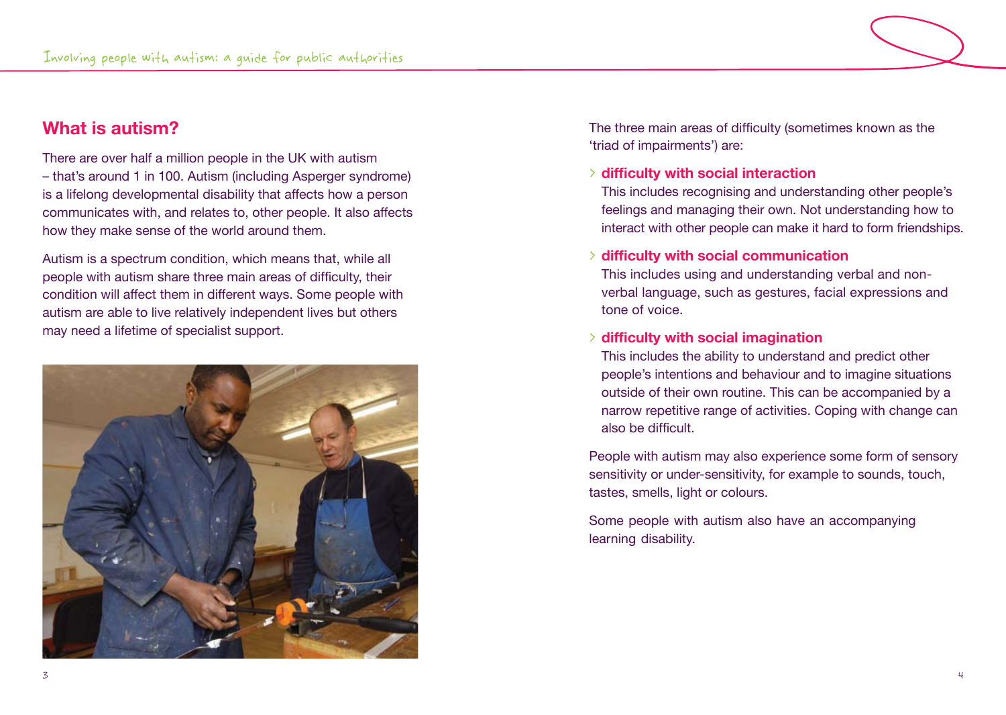# **What is autism?**

There are over half a million people in the UK with autism – that's around 1 in 100. Autism (including Asperger syndrome) is a lifelong developmental disability that affects how a person communicates with, and relates to, other people. It also affects how they make sense of the world around them.

Autism is a spectrum condition, which means that, while all people with autism share three main areas of difficulty, their condition will affect them in different ways. Some people with autism are able to live relatively independent lives but others may need a lifetime of specialist support.



The three main areas of difficulty (sometimes known as the 'triad of impairments') are:

# > **difficulty with social interaction**

This includes recognising and understanding other people's feelings and managing their own. Not understanding how to interact with other people can make it hard to form friendships.

### > **difficulty with social communication**

This includes using and understanding verbal and nonverbal language, such as gestures, facial expressions and tone of voice.

### > **difficulty with social imagination**

This includes the ability to understand and predict other people's intentions and behaviour and to imagine situations outside of their own routine. This can be accompanied by a narrow repetitive range of activities. Coping with change can also be difficult.

People with autism may also experience some form of sensory sensitivity or under-sensitivity, for example to sounds, touch, tastes, smells, light or colours.

Some people with autism also have an accompanying learning disability.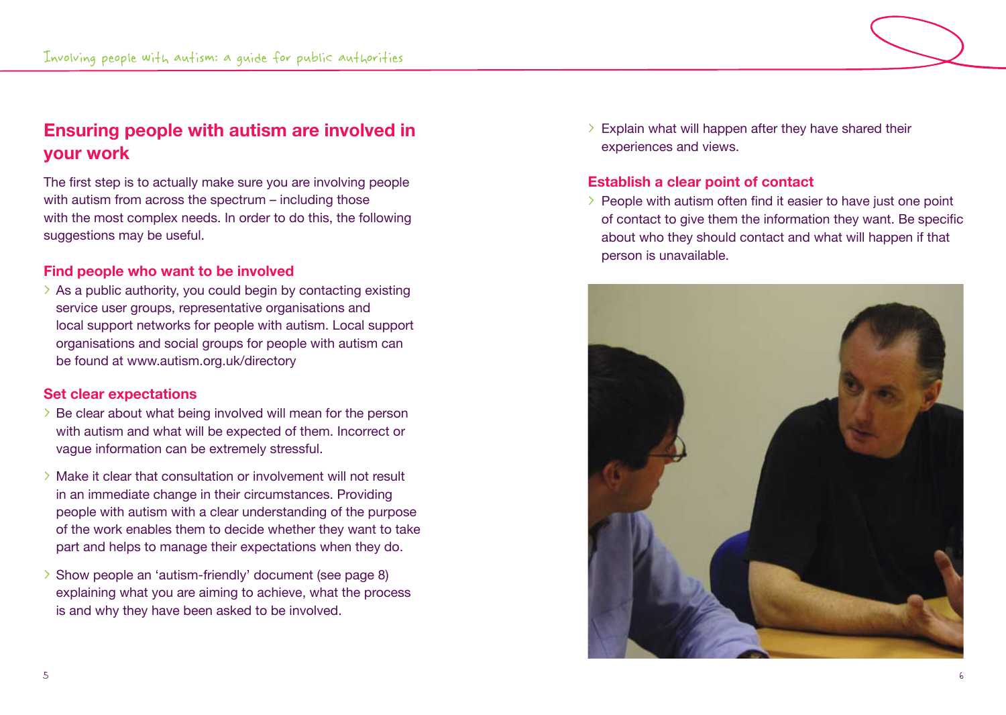# **Ensuring people with autism are involved in your work**

The first step is to actually make sure you are involving people with autism from across the spectrum – including those with the most complex needs. In order to do this, the following suggestions may be useful.

# **Find people who want to be involved**

 $\geq$  As a public authority, you could begin by contacting existing service user groups, representative organisations and local support networks for people with autism. Local support organisations and social groups for people with autism can be found at www.autism.org.uk/directory

# **Set clear expectations**

- > Be clear about what being involved will mean for the person with autism and what will be expected of them. Incorrect or vague information can be extremely stressful.
- > Make it clear that consultation or involvement will not result in an immediate change in their circumstances. Providing people with autism with a clear understanding of the purpose of the work enables them to decide whether they want to take part and helps to manage their expectations when they do.
- > Show people an 'autism-friendly' document (see page 8) explaining what you are aiming to achieve, what the process is and why they have been asked to be involved.

 $\geq$  Explain what will happen after they have shared their experiences and views.

# **Establish a clear point of contact**

> People with autism often find it easier to have just one point of contact to give them the information they want. Be specific about who they should contact and what will happen if that person is unavailable.

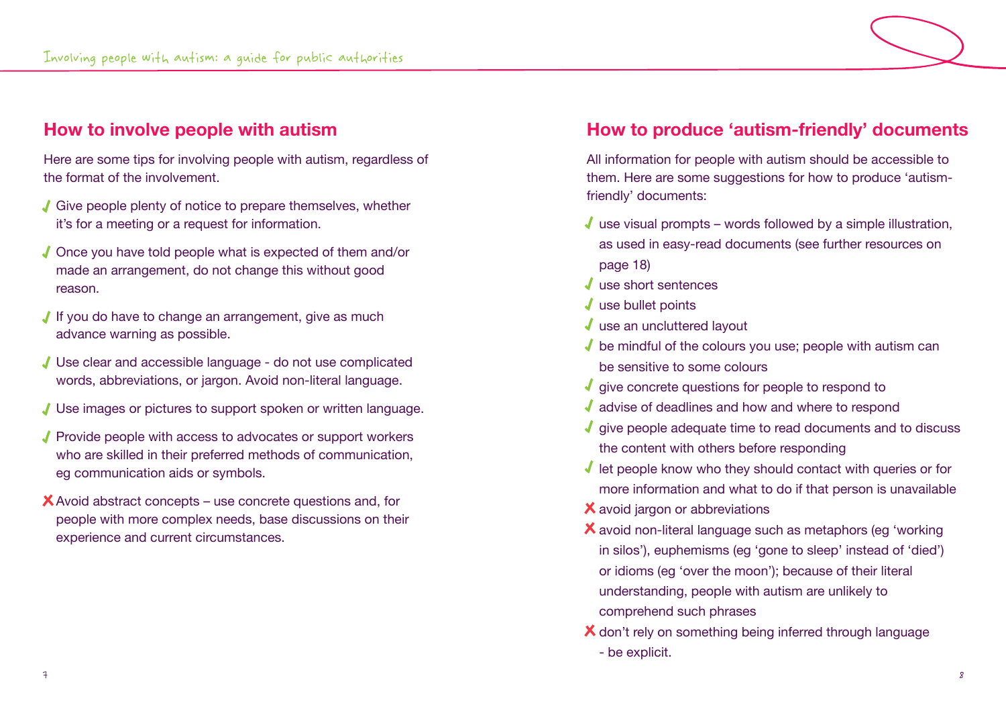# **How to involve people with autism**

Here are some tips for involving people with autism, regardless of the format of the involvement.

- Give people plenty of notice to prepare themselves, whether it's for a meeting or a request for information.
- Once you have told people what is expected of them and/or made an arrangement, do not change this without good reason.
- If you do have to change an arrangement, give as much advance warning as possible.
- Use clear and accessible language do not use complicated words, abbreviations, or jargon. Avoid non-literal language.
- Use images or pictures to support spoken or written language.
- Provide people with access to advocates or support workers who are skilled in their preferred methods of communication, eg communication aids or symbols.
- $\mathsf{\times}$  Avoid abstract concepts use concrete questions and, for people with more complex needs, base discussions on their experience and current circumstances.

# **How to produce 'autism-friendly' documents**

All information for people with autism should be accessible to them. Here are some suggestions for how to produce 'autismfriendly' documents:

- $\sqrt{\ }$  use visual prompts words followed by a simple illustration, as used in easy-read documents (see further resources on page 18)
- ↓ use short sentences
- $\sqrt{\ }$  use bullet points
- $\sqrt{\ }$  use an uncluttered layout
- $\sqrt{\ }$  be mindful of the colours you use; people with autism can be sensitive to some colours
- $\sqrt{\ }$  give concrete questions for people to respond to
- ↓ advise of deadlines and how and where to respond
- $\sqrt{\ }$  give people adequate time to read documents and to discuss the content with others before responding
- $\sqrt{\ }$  let people know who they should contact with queries or for more information and what to do if that person is unavailable
- X avoid jargon or abbreviations
- avoid non-literal language such as metaphors (eg 'working in silos'), euphemisms (eg 'gone to sleep' instead of 'died') or idioms (eg 'over the moon'); because of their literal understanding, people with autism are unlikely to comprehend such phrases
- X don't rely on something being inferred through language
	- be explicit.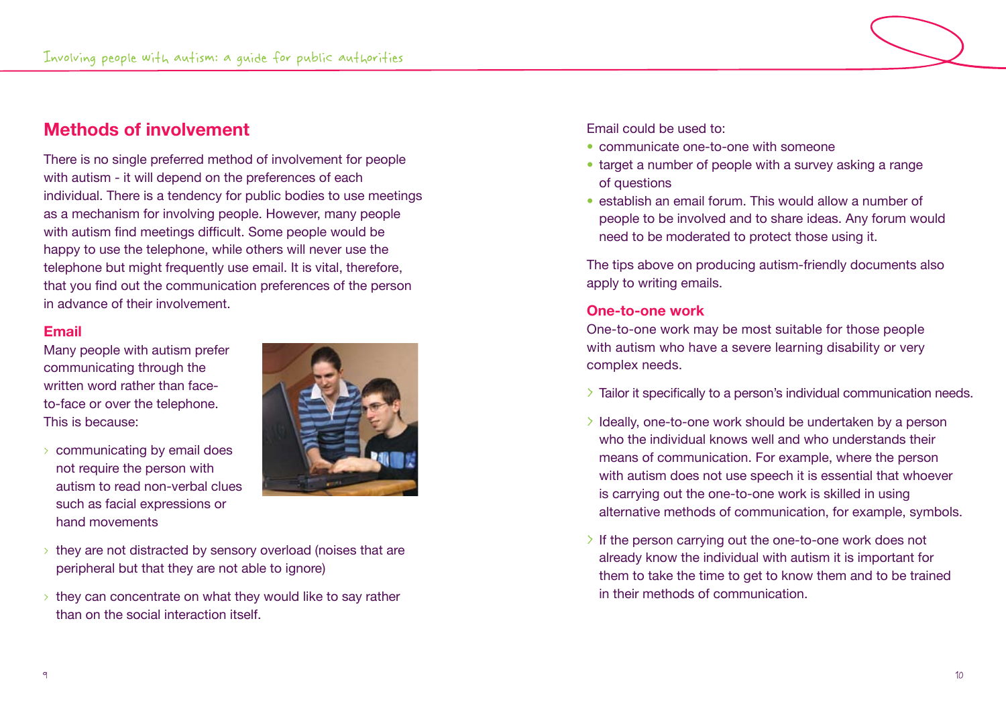# **Methods of involvement**

There is no single preferred method of involvement for people with autism - it will depend on the preferences of each individual. There is a tendency for public bodies to use meetings as a mechanism for involving people. However, many people with autism find meetings difficult. Some people would be happy to use the telephone, while others will never use the telephone but might frequently use email. It is vital, therefore, that you find out the communication preferences of the person in advance of their involvement.

# **Email**

Many people with autism prefer communicating through the written word rather than faceto-face or over the telephone. This is because:

> communicating by email does not require the person with autism to read non-verbal clues such as facial expressions or hand movements



- $\rightarrow$  they are not distracted by sensory overload (noises that are peripheral but that they are not able to ignore)
- $\rightarrow$  they can concentrate on what they would like to say rather than on the social interaction itself.

Email could be used to:

- communicate one-to-one with someone
- target a number of people with a survey asking a range of questions
- establish an email forum. This would allow a number of people to be involved and to share ideas. Any forum would need to be moderated to protect those using it.

The tips above on producing autism-friendly documents also apply to writing emails.

# **One-to-one work**

One-to-one work may be most suitable for those people with autism who have a severe learning disability or very complex needs.

- > Tailor it specifically to a person's individual communication needs.
- > Ideally, one-to-one work should be undertaken by a person who the individual knows well and who understands their means of communication. For example, where the person with autism does not use speech it is essential that whoever is carrying out the one-to-one work is skilled in using alternative methods of communication, for example, symbols.
- > If the person carrying out the one-to-one work does not already know the individual with autism it is important for them to take the time to get to know them and to be trained in their methods of communication.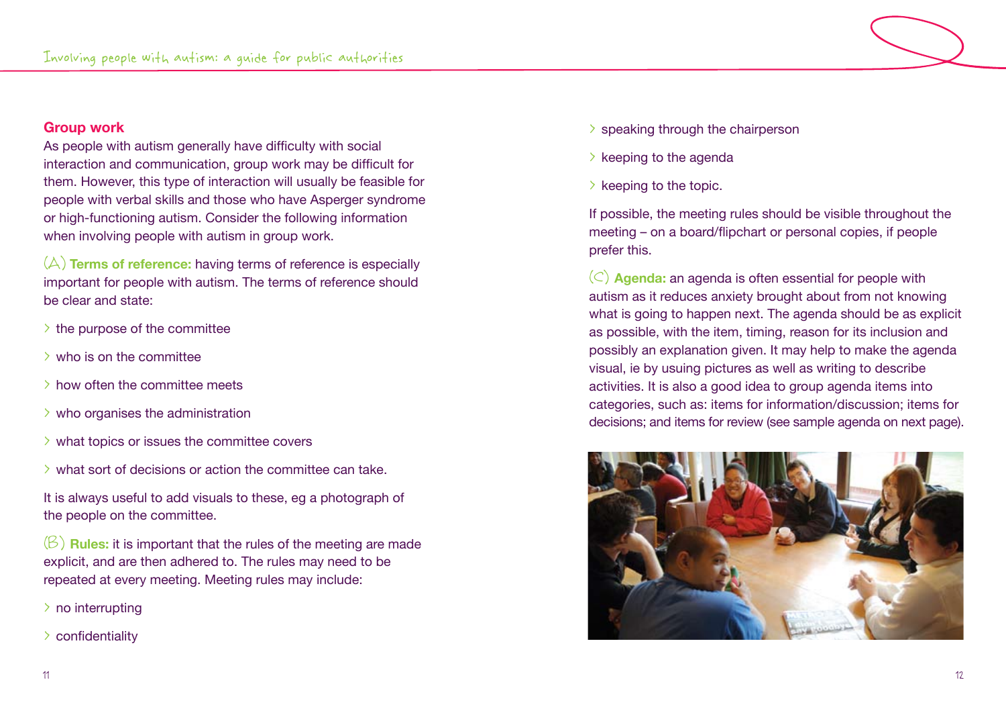### **Group work**

As people with autism generally have difficulty with social interaction and communication, group work may be difficult for them. However, this type of interaction will usually be feasible for people with verbal skills and those who have Asperger syndrome or high-functioning autism. Consider the following information when involving people with autism in group work.

(A) **Terms of reference:** having terms of reference is especially important for people with autism. The terms of reference should be clear and state:

- $\geq$  the purpose of the committee
- > who is on the committee
- > how often the committee meets
- $\rightarrow$  who organises the administration
- $\rightarrow$  what topics or issues the committee covers
- > what sort of decisions or action the committee can take.

It is always useful to add visuals to these, eg a photograph of the people on the committee.

(B) **Rules:** it is important that the rules of the meeting are made explicit, and are then adhered to. The rules may need to be repeated at every meeting. Meeting rules may include:

- > no interrupting
- > confidentiality
- > speaking through the chairperson
- $\geq$  keeping to the agenda
- $\geq$  keeping to the topic.

If possible, the meeting rules should be visible throughout the meeting – on a board/flipchart or personal copies, if people prefer this.

(C) **Agenda:** an agenda is often essential for people with autism as it reduces anxiety brought about from not knowing what is going to happen next. The agenda should be as explicit as possible, with the item, timing, reason for its inclusion and possibly an explanation given. It may help to make the agenda visual, ie by usuing pictures as well as writing to describe activities. It is also a good idea to group agenda items into categories, such as: items for information/discussion; items for decisions; and items for review (see sample agenda on next page).

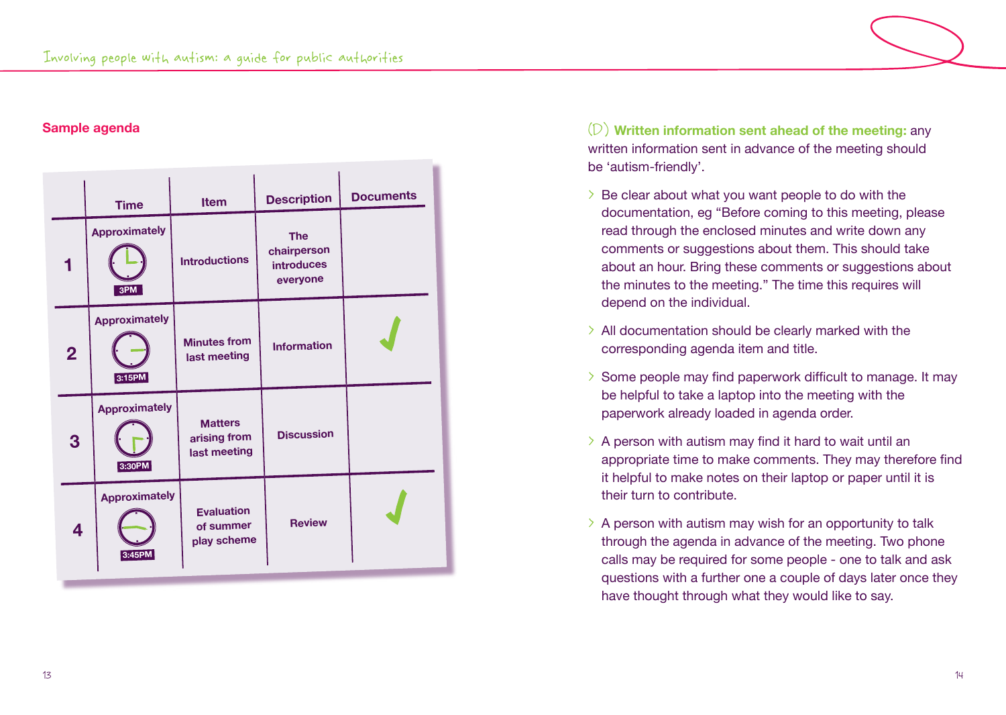



**Sample agenda** (D) **Written information sent ahead of the meeting:** any written information sent in advance of the meeting should be 'autism-friendly'.

- > Be clear about what you want people to do with the documentation, eg "Before coming to this meeting, please read through the enclosed minutes and write down any comments or suggestions about them. This should take about an hour. Bring these comments or suggestions about the minutes to the meeting." The time this requires will depend on the individual.
- > All documentation should be clearly marked with the corresponding agenda item and title.
- > Some people may find paperwork difficult to manage. It may be helpful to take a laptop into the meeting with the paperwork already loaded in agenda order.
- $\geq$  A person with autism may find it hard to wait until an appropriate time to make comments. They may therefore find it helpful to make notes on their laptop or paper until it is their turn to contribute.
- $\geq$  A person with autism may wish for an opportunity to talk through the agenda in advance of the meeting. Two phone calls may be required for some people - one to talk and ask questions with a further one a couple of days later once they have thought through what they would like to say.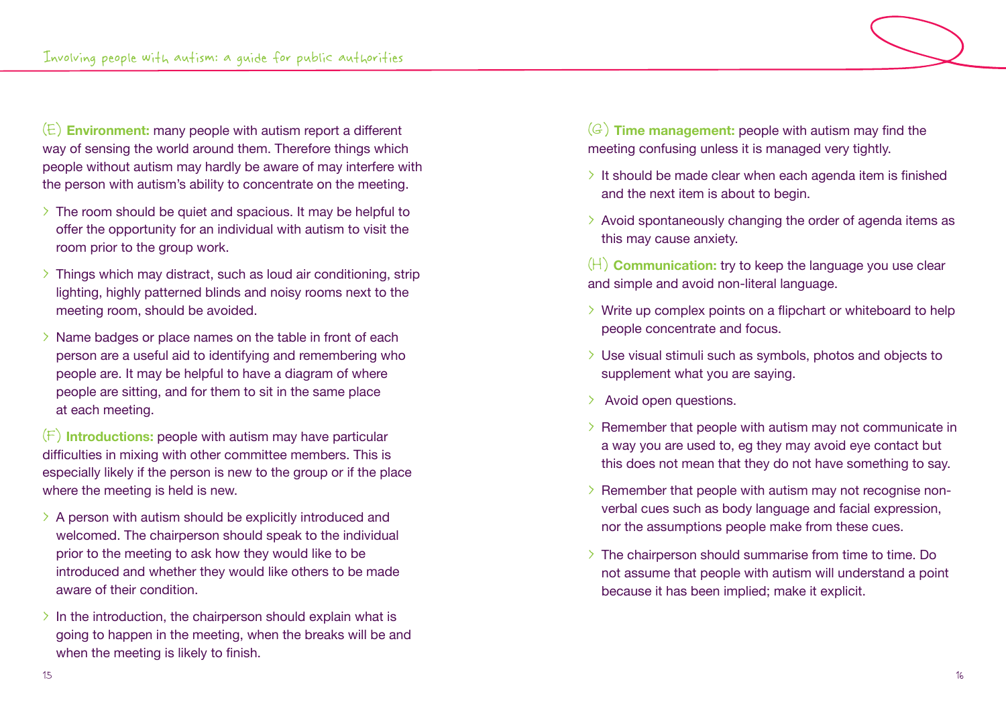(E) **Environment:** many people with autism report a different way of sensing the world around them. Therefore things which people without autism may hardly be aware of may interfere with the person with autism's ability to concentrate on the meeting.

- $\geq$  The room should be quiet and spacious. It may be helpful to offer the opportunity for an individual with autism to visit the room prior to the group work.
- $\geq$  Things which may distract, such as loud air conditioning, strip lighting, highly patterned blinds and noisy rooms next to the meeting room, should be avoided.
- > Name badges or place names on the table in front of each person are a useful aid to identifying and remembering who people are. It may be helpful to have a diagram of where people are sitting, and for them to sit in the same place at each meeting.

(F) **Introductions:** people with autism may have particular difficulties in mixing with other committee members. This is especially likely if the person is new to the group or if the place where the meeting is held is new.

- $\geq$  A person with autism should be explicitly introduced and welcomed. The chairperson should speak to the individual prior to the meeting to ask how they would like to be introduced and whether they would like others to be made aware of their condition.
- $\geq$  In the introduction, the chairperson should explain what is going to happen in the meeting, when the breaks will be and when the meeting is likely to finish.

(G) **Time management:** people with autism may find the meeting confusing unless it is managed very tightly.

- $\geq$  It should be made clear when each agenda item is finished and the next item is about to begin.
- $\geq$  Avoid spontaneously changing the order of agenda items as this may cause anxiety.
- (H) **Communication:** try to keep the language you use clear and simple and avoid non-literal language.
- $\rightarrow$  Write up complex points on a flipchart or whiteboard to help people concentrate and focus.
- > Use visual stimuli such as symbols, photos and objects to supplement what you are saying.
- > Avoid open questions.
- > Remember that people with autism may not communicate in a way you are used to, eg they may avoid eye contact but this does not mean that they do not have something to say.
- > Remember that people with autism may not recognise nonverbal cues such as body language and facial expression, nor the assumptions people make from these cues.
- > The chairperson should summarise from time to time. Do not assume that people with autism will understand a point because it has been implied; make it explicit.